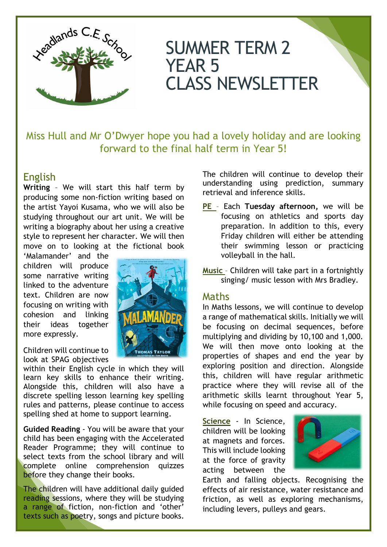

# SUMMER TERM 2 YEAR 5 CLASS NEWSLETTER

Miss Hull and Mr O'Dwyer hope you had a lovely holiday and are looking forward to the final half term in Year 5!

## English

**Writing** – We will start this half term by producing some non-fiction writing based on the artist Yayoi Kusama, who we will also be studying throughout our art unit. We will be writing a biography about her using a creative style to represent her character. We will then move on to looking at the fictional book

'Malamander' and the children will produce some narrative writing linked to the adventure text. Children are now focusing on writing with cohesion and linking their ideas together more expressly.

Children will continue to look at SPAG objectives

within their English cycle in which they will learn key skills to enhance their writing. Alongside this, children will also have a discrete spelling lesson learning key spelling rules and patterns, please continue to access spelling shed at home to support learning.

**Guided Reading** - You will be aware that your child has been engaging with the Accelerated Reader Programme; they will continue to select texts from the school library and will complete online comprehension quizzes before they change their books.

The children will have additional daily guided reading sessions, where they will be studying a range of fiction, non-fiction and 'other' texts such as poetry, songs and picture books.



The children will continue to develop their understanding using prediction, summary retrieval and inference skills.

- **PE** Each **Tuesday afternoon,** we will be focusing on athletics and sports day preparation. In addition to this, every Friday children will either be attending their swimming lesson or practicing volleyball in the hall.
- **Music** Children will take part in a fortnightly singing/ music lesson with Mrs Bradley.

## Maths

In Maths lessons, we will continue to develop a range of mathematical skills. Initially we will be focusing on decimal sequences, before multiplying and dividing by 10,100 and 1,000. We will then move onto looking at the properties of shapes and end the year by exploring position and direction. Alongside this, children will have regular arithmetic practice where they will revise all of the arithmetic skills learnt throughout Year 5, while focusing on speed and accuracy.

**Science** - In Science, children will be looking at magnets and forces. This will include looking at the force of gravity acting between the



Earth and falling objects. Recognising the effects of air resistance, water resistance and friction, as well as exploring mechanisms, including levers, pulleys and gears.